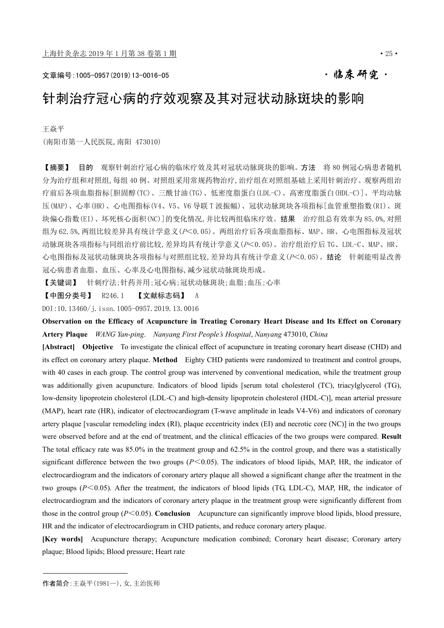# 文章编号:1005-0957(2019)13-0016-05 ·临床研究·

# 针刺治疗冠心病的疗效观察及其对冠状动脉斑块的影响

王焱平

(南阳市第一人民医院,南阳 473010)

【摘要】 目的 观察针刺治疗冠心病的临床疗效及其对冠状动脉斑块的影响。方法 将 80 例冠心病患者随机 分为治疗组和对照组,每组 40 例。对照组采用常规药物治疗,治疗组在对照组基础上采用针刺治疗。观察两组治 疗前后各项血脂指标[胆固醇(TC)、三酰甘油(TG)、低密度脂蛋白(LDL-C)、高密度脂蛋白(HDL-C)]、平均动脉 压(MAP)、心率(HR)、心电图指标(V4、V5、V6 导联 T 波振幅)、冠状动脉斑块各项指标[血管重塑指数(RI)、斑 块偏心指数(EI)、坏死核心面积(NC)]的变化情况,并比较两组临床疗效。结果 治疗组总有效率为 85.0%,对照 组为 62.5%, 两组比较差异具有统计学意义(P<0.05)。两组治疗后各项血脂指标、MAP、HR、心电图指标及冠状 动脉斑块各项指标与同组治疗前比较,差异均具有统计学意义(P<0.05)。治疗组治疗后 TG、LDL-C、MAP、HR、 心电图指标及冠状动脉斑块各项指标与对照组比较,差异均具有统计学意义(P<0.05)。结论 针刺能明显改善 冠心病患者血脂、血压、心率及心电图指标,减少冠状动脉斑块形成。

【关键词】 针刺疗法;针药并用;冠心病;冠状动脉斑块;血脂;血压;心率

【中图分类号】 R246.1 【文献标志码】 A

DOI:10.13460/j.issn.1005-0957.2019.13.0016

**Observation on the Efficacy of Acupuncture in Treating Coronary Heart Disease and Its Effect on Coronary Artery Plaque** *WANG Yan*-*ping*. *Nanyang First People's Hospital*, *Nanyang* 473010, *China*

**[Abstract] Objective** To investigate the clinical effect of acupuncture in treating coronary heart disease (CHD) and its effect on coronary artery plaque. **Method** Eighty CHD patients were randomized to treatment and control groups, with 40 cases in each group. The control group was intervened by conventional medication, while the treatment group was additionally given acupuncture. Indicators of blood lipids [serum total cholesterol (TC), triacylglycerol (TG), low-density lipoprotein cholesterol (LDL-C) and high-density lipoprotein cholesterol (HDL-C)], mean arterial pressure (MAP), heart rate (HR), indicator of electrocardiogram (T-wave amplitude in leads V4-V6) and indicators of coronary artery plaque [vascular remodeling index (RI), plaque eccentricity index (EI) and necrotic core (NC)] in the two groups were observed before and at the end of treatment, and the clinical efficacies of the two groups were compared. **Result**  The total efficacy rate was 85.0% in the treatment group and 62.5% in the control group, and there was a statistically significant difference between the two groups  $(P<0.05)$ . The indicators of blood lipids, MAP, HR, the indicator of electrocardiogram and the indicators of coronary artery plaque all showed a significant change after the treatment in the two groups (*P*<0.05). After the treatment, the indicators of blood lipids (TG, LDL-C), MAP, HR, the indicator of electrocardiogram and the indicators of coronary artery plaque in the treatment group were significantly different from those in the control group ( $P \le 0.05$ ). **Conclusion** Acupuncture can significantly improve blood lipids, blood pressure, HR and the indicator of electrocardiogram in CHD patients, and reduce coronary artery plaque.

**[Key words]** Acupuncture therapy; Acupuncture medication combined; Coronary heart disease; Coronary artery plaque; Blood lipids; Blood pressure; Heart rate

作者简介:王焱平(1981—),女,主治医师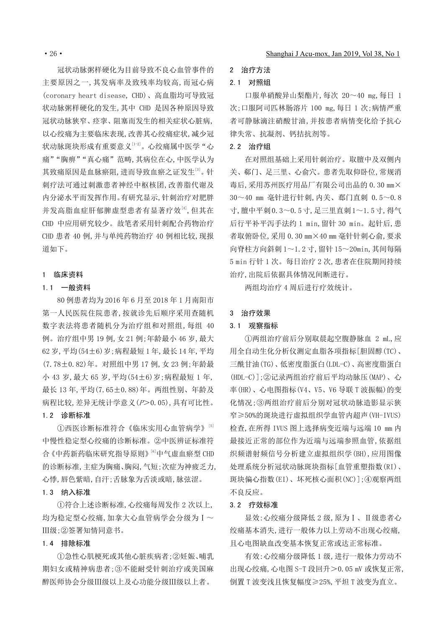冠状动脉粥样硬化为目前导致不良心血管事件的 主要原因之一,其发病率及致残率均较高,而冠心病 (coronary heart disease, CHD)、高血脂均可导致冠 状动脉粥样硬化的发生,其中 CHD 是因各种原因导致 冠状动脉狭窄、痉挛、阻塞而发生的相关症状心脏病, 以心绞痛为主要临床表现,改善其心绞痛症状,减少冠 状动脉斑块形成有重要意义[1-2]。心绞痛属中医学"心 痛""胸痹""真心痛"范畴,其病位在心,中医学认为 其致痛原因是血脉瘀阻,进而导致血瘀之证发生[3]。针 刺疗法可通过刺激患者神经中枢核团,改善脂代谢及 内分泌水平而发挥作用。有研究显示,针刺治疗对肥胖 并发高脂血症肝郁脾虚型患者有显著疗效[4], 但其在 CHD 中应用研究较少。故笔者采用针刺配合药物治疗 CHD 患者 40 例,并与单纯药物治疗 40 例相比较,现报 道如下。

#### 1 临床资料

#### 1.1 一般资料

80 例患者均为 2016 年 6 月至 2018 年 1 月南阳市 第一人民医院住院患者,按就诊先后顺序采用查随机 数字表法将患者随机分为治疗组和对照组,每组 40 例。治疗组中男 19 例,女 21 例;年龄最小 46 岁,最大 62 岁,平均(54±6)岁;病程最短 1 年,最长 14 年,平均 (7.78±0.82)年。对照组中男 17 例,女 23 例;年龄最 小 43 岁,最大 65 岁,平均(54±6)岁;病程最短 1 年, 最长 13 年,平均(7.65±0.88)年。两组性别、年龄及 病程比较,差异无统计学意义(P>0.05),具有可比性。

#### 1.2 诊断标准

①西医诊断标准符合《临床实用心血管病学》[5] 中慢性稳定型心绞痛的诊断标准。②中医辨证标准符 合《中药新药临床研究指导原则》[6]中气虚血瘀型 CHD 的诊断标准,主症为胸痛、胸闷,气短;次症为神疲乏力, 心悸,唇色紫暗,自汗;舌脉象为舌淡或暗,脉弦涩。

#### 1.3 纳入标准

①符合上述诊断标准,心绞痛每周发作 2 次以上, 均为稳定型心绞痛,加拿大心血管病学会分级为 I~ Ⅲ级;②签署知情同意书。

#### 1.4 排除标准

①急性心肌梗死或其他心脏疾病者;②妊娠、哺乳 期妇女或精神病患者;③不能耐受针刺治疗或美国麻 醉医师协会分级Ⅲ级以上及心功能分级Ⅲ级以上者。

# 2 治疗方法

#### 2.1 对照组

口服单硝酸异山梨酯片,每次 20~40 mg,每日 1 次;口服阿司匹林肠溶片 100 mg,每日 1 次;病情严重 者可静脉滴注硝酸甘油,并按患者病情变化给予抗心 律失常、抗凝剂、钙拮抗剂等。

#### 2.2 治疗组

在对照组基础上采用针刺治疗。取膻中及双侧内 关、郗门、足三里、心俞穴。患者先取仰卧位,常规消 毒后,采用苏州医疗用品厂有限公司出品的 0.30 mm× 30~40 mm 毫针进行针刺,内关、郄门直刺 0.5~0.8 寸,膻中平刺0.3~0.5寸,足三里直刺1~1.5寸,得气 后行平补平泻手法约 1 min,留针 30 min。起针后,患 者取俯卧位,采用 0.30 mm×40 mm 毫针针刺心俞,要求 向脊柱方向斜刺 1~1.2 寸,留针 15~20min,其间每隔 5 min 行针 1 次。每日治疗 2 次,患者在住院期间持续 治疗,出院后依据具体情况间断进行。

两组均治疗 4 周后进行疗效统计。

#### 3 治疗效果

# 3.1 观察指标

①两组治疗前后分别取晨起空腹静脉血 2 mL,应 用全自动生化分析仪测定血脂各项指标[胆固醇(TC)、 三酰甘油(TG)、低密度脂蛋白(LDL-C)、高密度脂蛋白 (HDL-C)];②记录两组治疗前后平均动脉压(MAP)、心 率(HR)、心电图指标(V4、V5、V6 导联 T 波振幅)的变 化情况;③两组治疗前后分别对冠状动脉造影显示狭 窄≥50%的斑块进行虚拟组织学血管内超声(VH-IVUS) 检查,在所得 IVUS 图上选择病变近端与远端 10 mm 内 最接近正常的部位作为近端与远端参照血管,依据组 织频谱射频信号分析建立虚拟组织学(BH),应用图像 处理系统分析冠状动脉斑块指标[血管重塑指数(RI)、 斑块偏心指数(EI)、坏死核心面积(NC)];④观察两组 不良反应。

#### 3.2 疗效标准

显效:心绞痛分级降低 2 级,原为Ⅰ、Ⅱ级患者心 绞痛基本消失,进行一般体力以上劳动不出现心绞痛, 且心电图缺血改变基本恢复正常或达正常标准。

有效:心绞痛分级降低 1 级,进行一般体力劳动不 出现心绞痛,心电图 S-T 段回升>0.05 mV 或恢复正常, 倒置 T 波变浅且恢复幅度≥25%,平坦 T 波变为直立。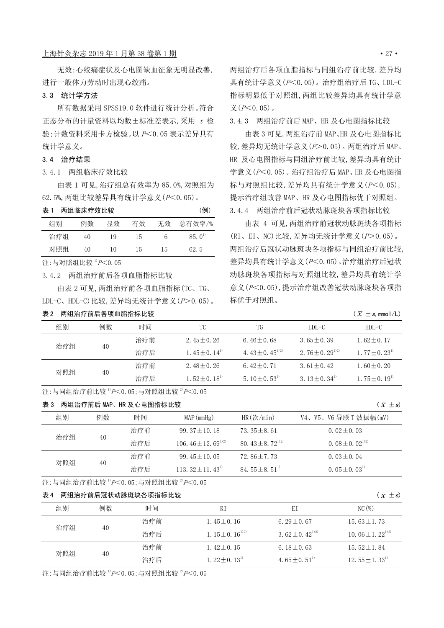## 上海针灸杂志 2019年1月第38卷第1期 ·27·

#### 3.3 统计学方法

所有数据采用 SPSS19.0 软件进行统计分析。符合 正态分布的计量资料以均数±标准差表示,采用 <sup>t</sup> 检 验;计数资料采用卡方检验。以 <sup>P</sup><0.05 表示差异具有 统计学意义。

#### 3.4 治疗结果

#### 3.4.1 两组临床疗效比较

由表 1 可见,治疗组总有效率为 85.0%,对照组为 62.5%,两组比较差异具有统计学意义(P<0.05)。

| 表 1 | 两组临床疗效比较 |    |    |    | (例)            |
|-----|----------|----|----|----|----------------|
| 组别  | 例数       | 显效 | 有效 | 无效 | 总有效率/%         |
| 治疗组 | 40       | 19 | 15 | 6  | $85.0^{\circ}$ |
| 对照组 | 40       | 10 | 15 | 15 | 62.5           |

注:与对照组比较<sup>1)</sup>  $P$ <0.05

3.4.2 两组治疗前后各项血脂指标比较

由表 2 可见,两组治疗前各项血脂指标(TC、TG、 LDL-C、HDL-C)比较,差异均无统计学意义(P>0.05)。

# 表 2 两组治疗前后各项血脂指标比较

两组治疗后各项血脂指标与同组治疗前比较,差异均 具有统计学意义(P<0.05)。治疗组治疗后 TG、LDL-C 指标明显低于对照组,两组比较差异均具有统计学意  $X(P<0.05)$ .

3.4.3 两组治疗前后 MAP、HR 及心电图指标比较

由表 3 可见,两组治疗前 MAP、HR 及心电图指标比 较,差异均无统计学意义 $(P>0.05)$ 。两组治疗后 MAP、 HR 及心电图指标与同组治疗前比较,差异均具有统计  $\frac{1}{2}$ 意义 $(P< 0.05)$ 。治疗组治疗后 MAP、HR 及心电图指 标与对照组比较,差异均具有统计学意义(P<0.05), 提示治疗组改善 MAP、HR 及心电图指标优于对照组。 3.4.4 两组治疗前后冠状动脉斑块各项指标比较

由表 4 可见,两组治疗前冠状动脉斑块各项指标 (RI、EI、NC)比较,差异均无统计学意义(P>0.05)。 两组治疗后冠状动脉斑块各项指标与同组治疗前比较, 差异均具有统计学意义(P<0.05)。治疗组治疗后冠状 动脉斑块各项指标与对照组比较,差异均具有统计学 意义(P<0.05),提示治疗组改善冠状动脉斑块各项指 标优于对照组。

 $\bar{x} \pm s$ , mmol/L)

| 组别  | 例数 | 时间  | ТC                            | TG                    | LDL=C                            | $HDL-C$                  |
|-----|----|-----|-------------------------------|-----------------------|----------------------------------|--------------------------|
| 治疗组 |    | 治疗前 | $2.45 + 0.26$                 | $6.46 \pm 0.68$       | $3.65 \pm 0.39$                  | $1.62 \pm 0.17$          |
|     | 40 | 治疗后 | $1.45 \pm 0.14$ <sup>1)</sup> | 4. $43 + 0.45^{12}$   | 2. 76 $\pm$ 0. 29 <sup>112</sup> | $1, 77 + 0, 231$         |
| 对照组 | 40 | 治疗前 | $2,48+0,26$                   | $6.42 \pm 0.71$       | $3.61 + 0.42$                    | $1,60+0.20$              |
|     |    | 治疗后 | $1.52 \pm 0.18$ <sup>11</sup> | $5.10 + 0.53^{\circ}$ | 3, $13 + 0$ , $34^{\circ}$       | 1.75 + 0.19 <sup>1</sup> |

注:与同组治疗前比较  $p < 0.05$ ;与对照组比较  $p < 0.05$ 

#### 表 3 两组治疗前后 MAP、HR 及心电图指标比较

| 表 3 |    | 两组治疗前后 MAP、HR 及心电图指标比较 |                               |                            | $(\bar{x} \pm s)$                         |
|-----|----|------------------------|-------------------------------|----------------------------|-------------------------------------------|
| 组别  | 例数 | 时间                     | MAP(mmHg)                     | $HR(\frac{\pi}{m})$        | V4、V5、V6 导联 T 波振幅(mV)                     |
| 治疗组 | 40 | 治疗前                    | $99.37 + 10.18$               | $73.35 + 8.61$             | $0.02 \pm 0.03$                           |
|     |    | 治疗后                    | 106, $46 + 12$ , $69^{12}$    | 80, $43 \pm 8$ , $72^{12}$ | 0. $08 \pm 0.02^{\scriptscriptstyle 1/2}$ |
| 对照组 | 40 | 治疗前                    | $99.45 + 10.05$               | $72.86 + 7.73$             | $0.03 \pm 0.04$                           |
|     |    | 治疗后                    | 113. $32 + 11$ . $43^{\circ}$ | $84.55 + 8.51$             | $0.05 \pm 0.03^{1}$                       |

#### 注:与同组治疗前比较<sup>1)</sup> $P$ <0.05;与对照组比较<sup>2)</sup> $P$ <0.05

# 表 4 两组治疗前后冠状动脉斑块各项指标比较

| 组别  | 例数 | 时间  | R I                  | ΕI                       | $NC$ (%)                         |
|-----|----|-----|----------------------|--------------------------|----------------------------------|
| 治疗组 |    | 治疗前 | $1.45 \pm 0.16$      | $6.29 + 0.67$            | $15.63 + 1.73$                   |
|     | 40 | 治疗后 | 1. $15 + 0.16^{1/2}$ | 3, $62 + 0$ , $42^{12}$  | 10.06 $\pm$ 1.22 <sup>1)2)</sup> |
| 对照组 |    | 治疗前 | $1.42 \pm 0.15$      | $6.18 + 0.63$            | $15.52 \pm 1.84$                 |
|     | 40 | 治疗后 | $1, 22 + 0, 131$     | 4.65 + 0.51 <sup>1</sup> | 12.55 $\pm$ 1.33 <sup>1)</sup>   |

注:与同组治疗前比较  ${}^{11}P$ <0.05;与对照组比较  ${}^{21}P$ <0.05

 $\bar{x} \pm s$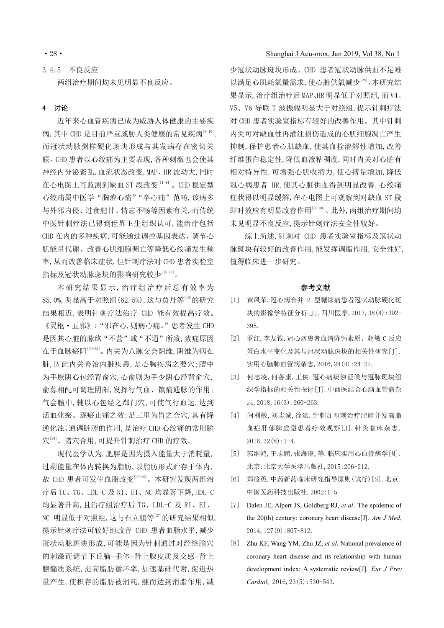# 3.4.5 不良反应 两组治疗期间均未见明显不良反应。

## 4 讨论

近年来心血管疾病已成为威胁人体健康的主要疾 病, 其中 CHD 是目前严重威胁人类健康的常见疾病[7-10], 而冠状动脉粥样硬化斑块形成与其发病存在密切关 联。CHD 患者以心绞痛为主要表现,各种刺激也会使其 神经内分泌紊乱,血流状态改变,MAP、HR 波动大,同时 在心电图上可监测到缺血 ST 段改变[11-14]。CHD 稳定型 心绞痛属中医学"胸痹心痛""卒心痛"范畴,该病多 与外邪内侵、过食肥甘、情志不畅等因素有关,而传统 中医针刺疗法已得到世界卫生组织认可,能治疗包括 CHD 在内的多种疾病,可能通过调控基因表达、调节心 肌能量代谢、改善心肌细胞凋亡等降低心绞痛发生频 率,从而改善临床症状,但针刺疗法对 CHD 患者实验室 指标及冠状动脉斑块的影响研究较少[15-18]。

本研究结果显示,治疗组治疗后总有效率为 85.0%,明显高于对照组(62.5%),这与贾丹等[19]的研究 结果相近,表明针刺疗法治疗 CHD 能有效提高疗效。 《灵枢·五邪》:"邪在心,则病心痛。"患者发生 CHD 是因其心脏的脉络"不营"或"不通"所致,致痛原因 在于血脉瘀阻[20-23]。内关为八脉交会阴维,阴维为病在 脏,因此内关善治内脏疾患,是心胸疾病之要穴;膻中 为手厥阴心包经背俞穴,心俞则为手少阴心经背俞穴, 俞募相配可调理阴阳,发挥行气血、镇痛通脉的作用; 气会膻中,辅以心包经之郗门穴,可使气行血运,达到 活血化瘀、逐瘀止痛之效;足三里为胃之合穴,具有降 逆化浊、通调脏腑的作用,是治疗 CHD 心绞痛的常用腧 穴 [24]。诸穴合用,可提升针刺治疗 CHD 的疗效。

现代医学认为,肥胖是因为摄入能量大于消耗量, 过剩能量在体内转换为脂肪,以脂肪形式贮存于体内, 故 CHD 患者可发生血脂改变[25-26]。本研究发现两组治 疗后 TC、TG、LDL-C 及 RI、EI、NC 均显著下降,HDL-C 均显著升高,且治疗组治疗后 TG、LDL-C 及 RI、EI、 NC 明显低于对照组,这与石立鹏等[27]的研究结果相似, 提示针刺疗法可较好地改善 CHD 患者血脂水平,减少 冠状动脉斑块形成,可能是因为针刺通过对经络腧穴 的刺激而调节下丘脑-垂体-肾上腺皮质及交感-肾上 腺髓质系统,提高脂肪循环率,加速基础代谢,促进热 量产生,使积存的脂肪被消耗,继而达到消脂作用,减

# ·28· Shanghai J Acu-mox, Jan 2019, Vol 38, No 1

少冠状动脉斑块形成。CHD 患者冠状动脉供血不足难 以满足心肌耗氧量需求,使心脏供氧减少[28]。本研究结 果显示,治疗组治疗后 MAP、HR 明显低于对照组,而 V4、 V5、V6 导联 T 波振幅明显大于对照组,提示针刺疗法 对 CHD 患者实验室指标有较好的改善作用。其中针刺 内关可对缺血性再灌注损伤造成的心肌细胞凋亡产生 抑制,保护患者心肌缺血,使其血栓溶解性增加,改善 纤维蛋白稳定性,降低血液粘稠度,同时内关对心脏有 相对特异性,可增强心肌收缩力,使心搏量增加,降低 冠心病患者 HR,使其心脏供血得到明显改善,心绞痛 症状得以明显缓解,在心电图上可观察到对缺血 ST 段 即时效应有明显改善作用[29-30]。此外,两组治疗期间均 未见明显不良反应,提示针刺疗法安全性较好。

综上所述,针刺对 CHD 患者实验室指标及冠状动 脉斑块有较好的改善作用,能发挥调脂作用,安全性好, 值得临床进一步研究。

#### 参考文献

- [1] 黄凤荣.冠心病合并 2 型糖尿病患者冠状动脉硬化斑 块的影像学特征分析[J].四川医学,2017,38(4):392- 395.
- [2] 罗红,李友钱.冠心病患者血清降钙素原、超敏 C 反应 蛋白水平变化及其与冠状动脉斑块的相关性研究[J]. 实用心脑肺血管病杂志,2016,24(4):24-27.
- [3] 何志凌,何善康,王侠.冠心病痰浊证候与冠脉斑块组 织学指标的相关性探讨[J].中西医结合心脑血管病杂 志,2018,16(3):260-263.
- [4] 闫利敏,刘志诚,徐斌.针刺加叩刺治疗肥胖并发高脂 血症肝郁脾虚型患者疗效观察[J].针灸临床杂志, 2016,32(8):1-4.
- [5] 郭继鸿,王志鹏,张海澄,等.临床实用心血管病学[M]. 北京:北京大学医学出版社,2015:206-212.
- [6] 郑筱萸.中药新药临床研究指导原则(试行)[S].北京: 中国医药科技出版社,2002:1-5.
- [7] Dalen JE, Alpert JS, Goldberg RJ, *et al*. The epidemic of the 20(th) century: coronary heart disease[J]. *Am J Med*, 2014,127(9):807-812.
- [8] Zhu KF, Wang YM, Zhu JZ, *et al*. National prevalence of coronary heart disease and its relationship with human development index: A systematic review[J]. *Eur J Prev Cardiol*, 2016, 23(5): 530-543.